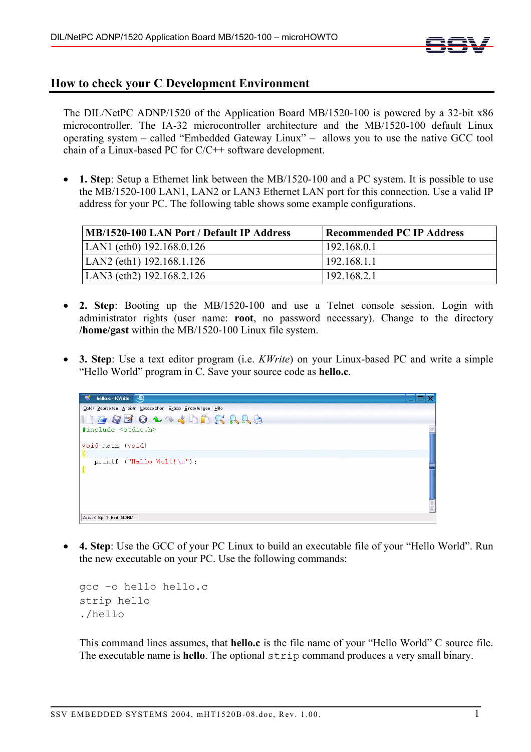

## **How to check your C Development Environment**

The DIL/NetPC ADNP/1520 of the Application Board MB/1520-100 is powered by a 32-bit x86 microcontroller. The IA-32 microcontroller architecture and the MB/1520-100 default Linux operating system – called "Embedded Gateway Linux" – allows you to use the native GCC tool chain of a Linux-based PC for C/C++ software development.

• **1. Step**: Setup a Ethernet link between the MB/1520-100 and a PC system. It is possible to use the MB/1520-100 LAN1, LAN2 or LAN3 Ethernet LAN port for this connection. Use a valid IP address for your PC. The following table shows some example configurations.

| MB/1520-100 LAN Port / Default IP Address | <b>Recommended PC IP Address</b> |
|-------------------------------------------|----------------------------------|
| LAN1 (eth0) $192.168.0.126$               | 192.168.0.1                      |
| LAN2 (eth1) $192.168.1.126$               | 192.168.1.1                      |
| LAN3 (eth2) $192.168.2.126$               | 192.168.2.1                      |

- **2. Step**: Booting up the MB/1520-100 and use a Telnet console session. Login with administrator rights (user name: **root**, no password necessary). Change to the directory **/home/gast** within the MB/1520-100 Linux file system.
- **3. Step**: Use a text editor program (i.e. *KWrite*) on your Linux-based PC and write a simple "Hello World" program in C. Save your source code as **hello.c**.



• **4. Step**: Use the GCC of your PC Linux to build an executable file of your "Hello World". Run the new executable on your PC. Use the following commands:

```
gcc –o hello hello.c 
strip hello 
./hello
```
This command lines assumes, that **hello.c** is the file name of your "Hello World" C source file. The executable name is **hello**. The optional strip command produces a very small binary.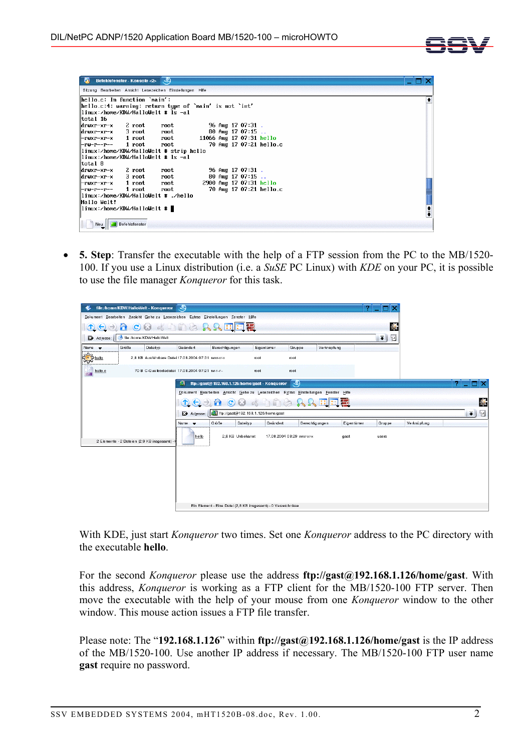

| Sitzung Bearbeiten Ansicht Lesezeichen Einstellungen Hilfe<br>hello.c: In function `main':<br>$\parallel$ hello.c:4: warning: return type of `main' is not `int'<br>linux:/home/KDW/HalloWelt # ls -al<br>  total 16<br>2 root<br>96 Aug 17 07:31 .<br>  drwxr-xr-x<br>root<br>80 Aug 17 07:15<br>  drwxr-xr-x   3 root<br>root<br>11066 Aug 17 07:31 hello<br>-rwxr-xr-x   1 root<br>root<br>70 Aug 17 07:21 hello.c<br>1 root<br>root<br>l-ru-r--r--<br>linux:/home/KDW/HalloWelt # strip hello<br>linux:/home/KDW/HalloWelt # ls -al<br>  total 8<br>2 root<br>$96$ Aug 17 07:31.<br>  drwxr-xr-x<br>root<br>80 Aug 17 07:15<br>  drwxr-xr-x   3 root<br>root<br>2900 Aug 17 07:31 hello<br>-rwxr-xr-x   1 root<br>root<br>70 Aug 17 07:21 hello.c<br>1 root<br>root<br>l-ru-r--r--<br>linux:/home/KDW/HalloWelt # ./hello<br>Hallo Welt!<br>linux:/home/KDW/HalloWelt # ■ | Befehlsfenster - Konsole <2> |  |  |  |               |
|-------------------------------------------------------------------------------------------------------------------------------------------------------------------------------------------------------------------------------------------------------------------------------------------------------------------------------------------------------------------------------------------------------------------------------------------------------------------------------------------------------------------------------------------------------------------------------------------------------------------------------------------------------------------------------------------------------------------------------------------------------------------------------------------------------------------------------------------------------------------------------|------------------------------|--|--|--|---------------|
|                                                                                                                                                                                                                                                                                                                                                                                                                                                                                                                                                                                                                                                                                                                                                                                                                                                                               |                              |  |  |  |               |
|                                                                                                                                                                                                                                                                                                                                                                                                                                                                                                                                                                                                                                                                                                                                                                                                                                                                               |                              |  |  |  |               |
|                                                                                                                                                                                                                                                                                                                                                                                                                                                                                                                                                                                                                                                                                                                                                                                                                                                                               |                              |  |  |  |               |
|                                                                                                                                                                                                                                                                                                                                                                                                                                                                                                                                                                                                                                                                                                                                                                                                                                                                               |                              |  |  |  |               |
|                                                                                                                                                                                                                                                                                                                                                                                                                                                                                                                                                                                                                                                                                                                                                                                                                                                                               |                              |  |  |  |               |
|                                                                                                                                                                                                                                                                                                                                                                                                                                                                                                                                                                                                                                                                                                                                                                                                                                                                               |                              |  |  |  |               |
|                                                                                                                                                                                                                                                                                                                                                                                                                                                                                                                                                                                                                                                                                                                                                                                                                                                                               |                              |  |  |  |               |
|                                                                                                                                                                                                                                                                                                                                                                                                                                                                                                                                                                                                                                                                                                                                                                                                                                                                               |                              |  |  |  |               |
|                                                                                                                                                                                                                                                                                                                                                                                                                                                                                                                                                                                                                                                                                                                                                                                                                                                                               |                              |  |  |  |               |
|                                                                                                                                                                                                                                                                                                                                                                                                                                                                                                                                                                                                                                                                                                                                                                                                                                                                               |                              |  |  |  |               |
|                                                                                                                                                                                                                                                                                                                                                                                                                                                                                                                                                                                                                                                                                                                                                                                                                                                                               |                              |  |  |  |               |
|                                                                                                                                                                                                                                                                                                                                                                                                                                                                                                                                                                                                                                                                                                                                                                                                                                                                               |                              |  |  |  |               |
|                                                                                                                                                                                                                                                                                                                                                                                                                                                                                                                                                                                                                                                                                                                                                                                                                                                                               |                              |  |  |  |               |
|                                                                                                                                                                                                                                                                                                                                                                                                                                                                                                                                                                                                                                                                                                                                                                                                                                                                               |                              |  |  |  |               |
|                                                                                                                                                                                                                                                                                                                                                                                                                                                                                                                                                                                                                                                                                                                                                                                                                                                                               |                              |  |  |  |               |
|                                                                                                                                                                                                                                                                                                                                                                                                                                                                                                                                                                                                                                                                                                                                                                                                                                                                               |                              |  |  |  |               |
|                                                                                                                                                                                                                                                                                                                                                                                                                                                                                                                                                                                                                                                                                                                                                                                                                                                                               |                              |  |  |  |               |
|                                                                                                                                                                                                                                                                                                                                                                                                                                                                                                                                                                                                                                                                                                                                                                                                                                                                               |                              |  |  |  |               |
|                                                                                                                                                                                                                                                                                                                                                                                                                                                                                                                                                                                                                                                                                                                                                                                                                                                                               |                              |  |  |  | $\frac{1}{4}$ |
|                                                                                                                                                                                                                                                                                                                                                                                                                                                                                                                                                                                                                                                                                                                                                                                                                                                                               |                              |  |  |  |               |

• **5. Step**: Transfer the executable with the help of a FTP session from the PC to the MB/1520- 100. If you use a Linux distribution (i.e. a *SuSE* PC Linux) with *KDE* on your PC, it is possible to use the file manager *Konqueror* for this task.

|                                                              | file:/home/KDW/HalloWelt - Konqueror                                              |                                                     |                |                   |                                                               |                            |                                                                                    |                           |                     |   |
|--------------------------------------------------------------|-----------------------------------------------------------------------------------|-----------------------------------------------------|----------------|-------------------|---------------------------------------------------------------|----------------------------|------------------------------------------------------------------------------------|---------------------------|---------------------|---|
|                                                              | Dokument Bearbeiten Ansicht Gehezu Lesezeichen Extras Einstellungen Fenster Hilfe |                                                     |                |                   |                                                               |                            |                                                                                    |                           |                     |   |
| $\bf{D}$<br>$\left( \leftarrow \right)$<br>$\left( -\right)$ | $\mathbf{C}$<br>$\omega$<br>п                                                     | <b>DASA</b>                                         |                | m                 | $\pm$                                                         |                            |                                                                                    |                           |                     |   |
| Adresse:                                                     | file:/home/KDW/HalloWelt                                                          |                                                     |                |                   |                                                               |                            |                                                                                    | 回<br>$\overline{\bullet}$ |                     |   |
| Name<br>$\overline{\phantom{a}}$                             | Größe<br>Dateityp                                                                 | Geändert                                            |                | Berechtigungen    | Eigentümer                                                    | Gruppe                     | Verknüpfung                                                                        |                           |                     |   |
| €<br>hello                                                   |                                                                                   | 2.8 KB Ausführbare Datei 17.08.2004 07:31 rwxr-xr-x |                |                   | root                                                          | root                       |                                                                                    |                           |                     |   |
| helb.c<br>÷                                                  |                                                                                   | 70 B C-Quellcodedatei 17.08.2004 07:21 nv-r--r--    |                |                   | root                                                          | root                       |                                                                                    |                           |                     |   |
|                                                              |                                                                                   | я                                                   |                |                   | ftp://gast@192.168.1.126/home/gast - Konqueror                | ತಿ                         |                                                                                    |                           |                     | 7 |
|                                                              |                                                                                   |                                                     |                |                   |                                                               |                            | Dokument Bearbeiten Ansicht Gehe zu Lesezeichen Extras Einstellungen Fenster Hilfe |                           |                     |   |
|                                                              |                                                                                   |                                                     | $\rightarrow)$ | $\mathbf{C}$<br>a |                                                               |                            | <b>De RRHEE</b>                                                                    |                           |                     | Q |
|                                                              |                                                                                   |                                                     | Adresse:       |                   | ftp://gast@192.168.1.126/home/gast                            |                            |                                                                                    |                           | 回<br>$\blacksquare$ |   |
|                                                              |                                                                                   | Name v                                              |                | Größe<br>Dateityp | Geändert                                                      |                            | Berechtigungen                                                                     | Eigentümer<br>Gruppe      | Verknüpfung         |   |
|                                                              | 2 Elemente - 2 Dateien (2,9 KB insgesamt) -                                       |                                                     | hello          | 2.8 KB Unbekannt  |                                                               | 17.08.2004 08:29 twxr-xr-x | gast                                                                               | users                     |                     |   |
|                                                              |                                                                                   |                                                     |                |                   | Ein Element - Eine Datei (2,8 KB insgesamt) - 0 Verzeichnisse |                            |                                                                                    |                           |                     |   |

With KDE, just start *Konqueror* two times. Set one *Konqueror* address to the PC directory with the executable **hello**.

For the second *Konqueror* please use the address **ftp://gast@192.168.1.126/home/gast**. With this address, *Konqueror* is working as a FTP client for the MB/1520-100 FTP server. Then move the executable with the help of your mouse from one *Konqueror* window to the other window. This mouse action issues a FTP file transfer.

Please note: The "**192.168.1.126**" within **ftp://gast@192.168.1.126/home/gast** is the IP address of the MB/1520-100. Use another IP address if necessary. The MB/1520-100 FTP user name **gast** require no password.